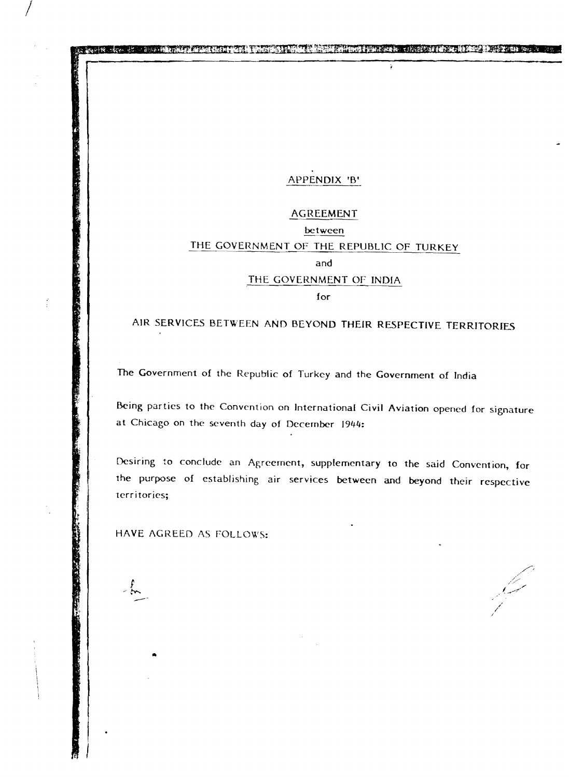# APPENDIX 'B'

· 在 SE 19 DE TO CELLE TO THE DESCRIPTION OF THE COMMUNICATION OF THE CRIPPING OF THE COMMUNICATION OF THE COMM

 $\lambda$ 

#### AGREEMENT

# between THE GOVERNMENT OF THE REPUBLIC OF TURKEY and

#### THE GOVERNMENT OF INDIA

for

# AIR SERVICES BETWEEN AND BEYOND THEIR RESPECTIVE TERRITORIES

The Government of the Republic of Turkey and the Government of India

Being parties to the Convention on International Civil Aviation opened for signature at Chicago on the seventh day of December 1944:

Desiring to conclude an Agreement, supplementary to the said Convention, for the purpose of establishing air services between and beyond their respective territories;

HAVE AGREED AS FOLLOWS:

 $\frac{1}{2}$ 

El Karl St. Here 19

///'.-;  $\mathscr{S}(\mathscr{S})$ 1.~4/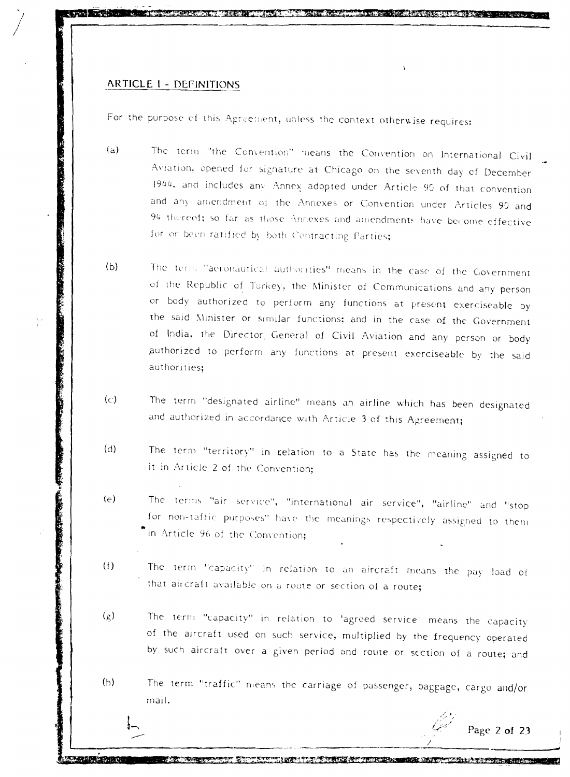## **ARTICLE 1 - DEFINITIONS**

**これは、「このことの意味を感じている」ということがあるということができます。**<br>これは、このことには、「このこと」ということには、「このこと」ということになっている。

**THE REPORT OF A CONTRACT OF A REPORT OF A PARTICULAR AND RELEASED FOR A PARTICULAR CONTRACT OF A PARTICULAR CONTRACT OF A PARTICULAR CONTRACT OF A PARTICULAR CONTRACT OF A PARTICULAR CONTRACT OF A PARTICULAR CONTRACT OF A** 

For the purpose of this Agreement, unless the context otherwise requires:

- The term "the Convention" means the Convention on International Civil  $(a)$ Aviation, opened for signature at Chicago on the seventh day of December 1944, and includes any Annex adopted under Article 90 of that convention and any amendment of the Annexes or Convention under Articles 90 and 94 thereof; so far as those Annexes and amendments have become effective for or been ratified by both Contracting Parties;
- The term "aeronautical authorities" means in the case of the Government  $(b)$ of the Republic of Turkey, the Minister of Communications and any person or body authorized to perform any functions at present exerciseable by the said Minister or similar functions; and in the case of the Government of India, the Director General of Civil Aviation and any person or body authorized to perform any functions at present exerciseable by the said authorities:
- The term "designated airline" means an airline which has been designated  $(c)$ and authorized in accordance with Article 3 of this Agreement;
- The term "territory" in relation to a State has the meaning assigned to  $(d)$ it in Article 2 of the Convention;
- The terms "air service", "international air service", "airline" and "stop  $(e)$ for non-taffic purposes" have the meanings respectively assigned to them in Article 96 of the Convention;
- The term "capacity" in relation to an aircraft means the pay load of  $(f)$ that aircraft available on a route or section of a route;
- The term "capacity" in relation to 'agreed service' means the capacity  $(g)$ of the aircraft used on such service, multiplied by the frequency operated by such aircraft over a given period and route or section of a route; and
- $(h)$ The term "traffic" means the carriage of passenger, baggage, cargo and/or mail.

FORMOUT TO THE TELL RATE TO THE TRING OF THE RELEASE CHARGE THE TRING

Page 2 of 23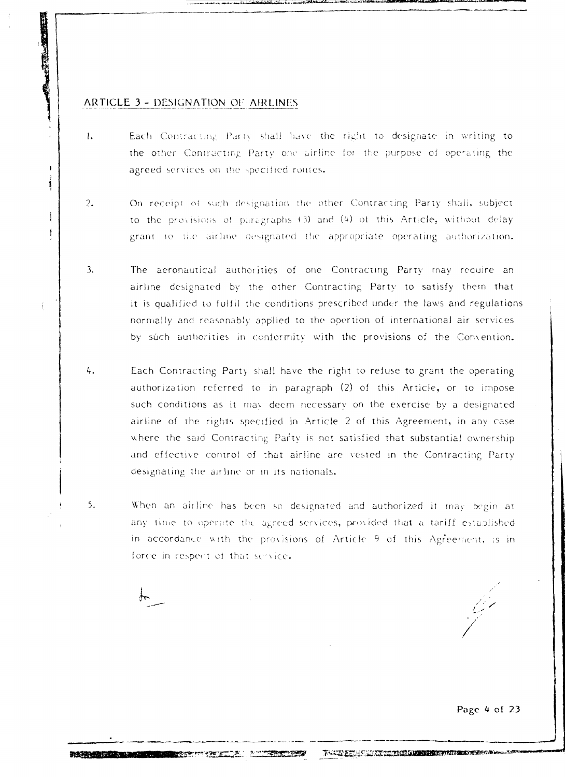#### ARTICLE 3 - DESIGNATION OF AIRLINES

**The Existing South Property** 

 $\mathbf{r}$ 

ŧ

j

- $\mathbf{L}$ Each Contracting Party shall have the right to designate in writing to the other Contracting Party one airline for the purpose of operating the agreed services on the specified routes.
- $2.$ On receipt of such designation the other Contracting Party shall, subject to the provisions of paragraphs (3) and (4) of this Article, without delay grant to the airline designated the appropriate operating authorization.
- The aeronautical authorities of one Contracting Party may require an  $3.$ airline designated by the other Contracting Party to satisfy them that it is qualified to fulfil the conditions prescribed under the laws and regulations normally and reasonably applied to the opertion of international air services by such authorities in conformity with the provisions of the Convention.
- 4. Each Contracting Party shall have the right to refuse to grant the operating authorization referred to in paragraph (2) of this Article, or to impose such conditions as it may deem necessary on the exercise by a designated airline of the rights specified in Article 2 of this Agreement, in any case where the said Contracting Party is not satisfied that substantial ownership and effective control of that airline are vested in the Contracting Party designating the airline or in its nationals.
- 5. When an airline has been so designated and authorized it may begin at any time to operate the agreed services, provided that a tariff established in accordance with the provisions of Article 9 of this Agreement, is in force in respect of that service.

**REPORT TO A REPORT OF A STATE OF A PARTY OF A REPORT OF A PARTY OF A PARTY OF A PARTY OF A PARTY OF A PARTY OF** 

Page 4 of 23

TANDED RELEASE COMMON TO THE NEW YORK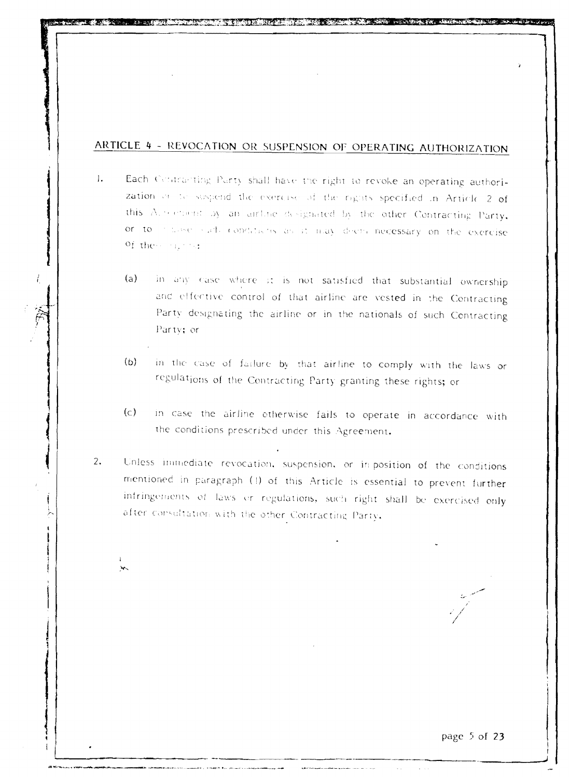# ARTICLE 4 - REVOCATION OR SUSPENSION OF OPERATING AUTHORIZATION

- $\mathbf{L}$ Each Contracting Party shall have the right to revoke an operating authorization of to suspend the exercise of the rights specified in Article 2 of this Almonient by an airline designated by the other Contracting Party, or to conservate conditions as it may deem necessary on the exercise Of the same star
	- $(a)$ in any case where it is not satisfied that substantial ownership and effective control of that airline are vested in the Contracting Party designating the airline or in the nationals of such Contracting Party; or
	- in the case of failure by that airline to comply with the laws or  $(b)$ regulations of the Contracting Party granting these rights; or
	- $(c)$ in case the airline otherwise fails to operate in accordance with the conditions prescribed under this Agreement.
- Unless immediate revocation, suspension, or in-position of the conditions  $2.$ mentioned in paragraph (1) of this Article is essential to prevent further infringements of laws or regulations, such right shall be exercised only after consultation with the other Contracting Party.

page 5 of 23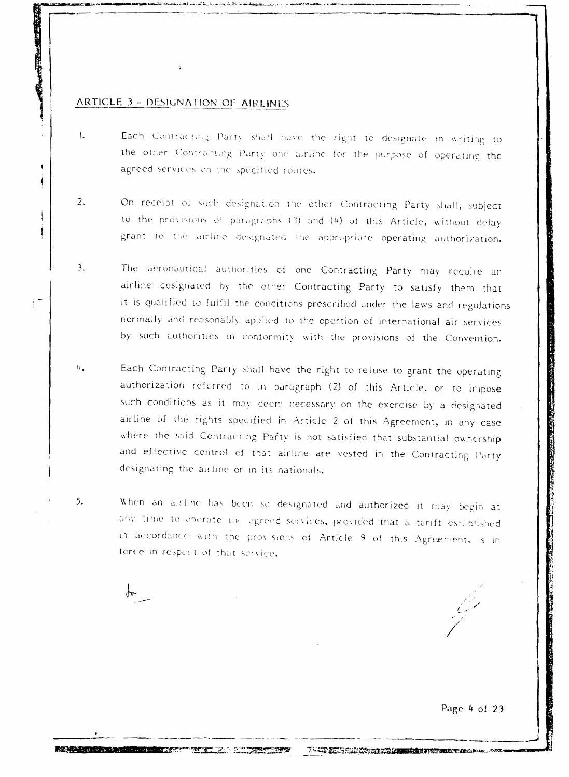# ARTICLE 3 - DESIGNATION OF AIRLINES

**CONTROLLED TO BE** 

- Each Contracting Party shall have the right to designate in writing to  $\mathbf{l}$ . the other Contracting Party one airline for the purpose of operating the agreed services on the specified routes.
- $2.$ On receipt of such designation the other Contracting Party shall, subject to the provisions of paragraphs (3) and (4) of this Article, without delay grant to the airline designated the appropriate operating authorization.
- $3.$ The aeronautical authorities of one Contracting Party may require an airline designated by the other Contracting Party to satisfy them that it is qualified to fulfil the conditions prescribed under the laws and regulations normally and reasonably applied to the opertion of international air services by súch authorities in conformity with the provisions of the Convention.
- Each Contracting Party shall have the right to refuse to grant the operating 4. authorization referred to in paragraph (2) of this Article, or to impose such conditions as it may deem necessary on the exercise by a designated airline of the rights specified in Article 2 of this Agreement, in any case where the said Contracting Party is not satisfied that substantial ownership and effective control of that airline are vested in the Contracting Party designating the airline or in its nationals.
- When an airline has been se designated and authorized it may begin at 5. any time to operate the agreed services, provided that a tariff established in accordance with the provisions of Article 9 of this Agreement, is in force in respect of that service.

**The Communication of the Communication** 

Page 4 of 23

THAT REFLERING COMMUNICATIONS TO A REPORT OF THE REAL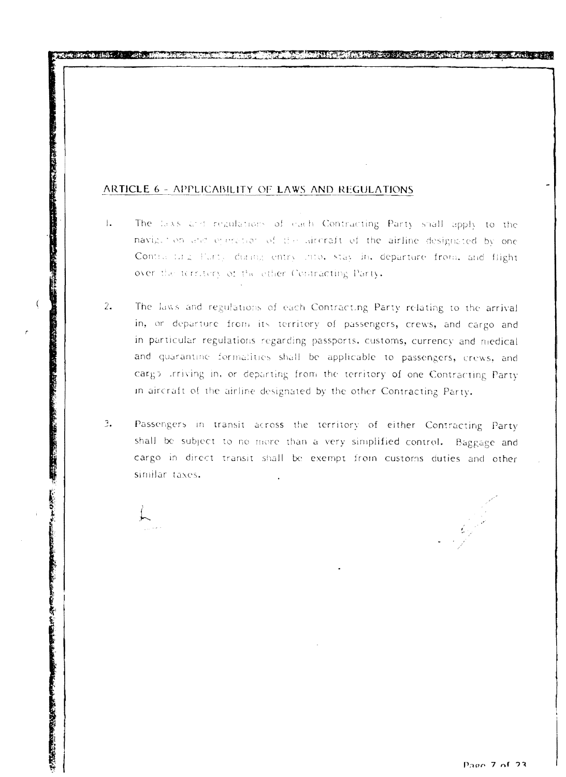## ARTICLE 6 - APPLICABILITY OF LAWS AND REGULATIONS

「今回の日本の中では、「今回の「その後の「その後の「その後の「その後に、「その後の「その後の「その後」ということで、「その後の「その後の「その後の」というので、「その後の「その後の「その後の」ということになっている。

- $\mathbf{L}$ The lass and regulations of each Contracting Party shall apply to the navig. On and eperation of the directaft of the airline designated by one Contracting Purty during entry into, stay in, departure from, and flight over the territory of the other Contracting Party.
- $2.1$ The laws and regulations of each Contracting Party relating to the arrival in, or departure from its territory of passengers, crews, and cargo and in particular regulations regarding passports, customs, currency and medical and quarantine formalities shall be applicable to passengers, crews, and cargo triving in, or departing from the territory of one Contracting Party in aircraft of the airline designated by the other Contracting Party.
- 3. Passengers in transit across the territory of either Contracting Party shall be subject to no more than a very simplified control. Baggage and cargo in direct transit shall be exempt from customs duties and other similar taxes.

 $Dao 7 of 23$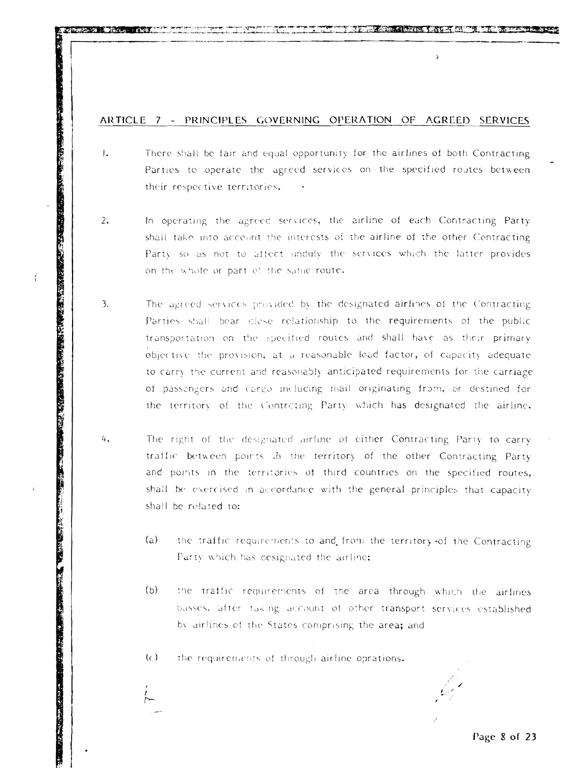#### ARTICLE 7 - PRINCIPLES GOVERNING OPERATION OF AGREED SERVICES

 $\mathbf{r}$ 

- There shall be fair and equal opportunity for the airlines of both Contracting  $\mathbf{L}$ Parties to operate the agreed services on the specified routes between their respective territories.
- In operating the agreed services, the airline of each Contracting Party  $2.$ shall take into account the interests of the airline of the other Contracting Party so as not to affect unduly the services which the latter provides on the whole or part of the same route.
- $\overline{3}$ . The agreed services provided by the designated airlines of the Contracting Parties shall bear close relationship to the requirements of the public transportation on the specified routes and shall have as their primary objective the provision, at a reasonable load factor, of capacity adequate to carry the current and reasonably anticipated requirements for the carriage of passengers and cargo including mail originating from, or destined for the territory of the Controting Party which has designated the airline.

**The Property Section 1999** 

ť

- 4. The right of the designated airline of either Contracting Party to carry traffic between points in the territory of the other Contracting Party and points in the territories of third countries on the specified routes, shall be exercised in accordance with the general principles that capacity shall be related to:
	- $(a)$ the traffic requirements to and from the territory of the Contracting Party which has designated the airline;
	- $(b)$ the traffic requirements of the area through which the airlines basses, after taking account of other transport services established by airlines of the States comprising the area; and
	- $(c)$ the requirements of through airline oprations.

Page 8 of 23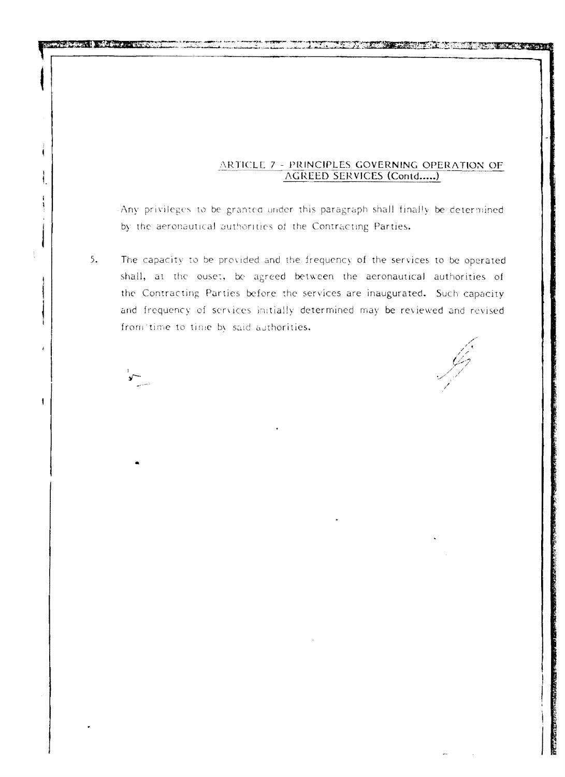#### ARTICLE 7 - PRINCIPLES GOVERNING OPERATION OF AGREED SERVICES (Contd.....)

Any privileges to be granted under this paragraph shall finally be determined by the aeronautical authorities of the Contracting Parties.

 $5.$ The capacity to be provided and the frequency of the services to be operated shall, at the ouset, be agreed between the aeronautical authorities of the Contracting Parties before the services are inaugurated. Such capacity and frequency of services initially determined may be reviewed and revised from time to time by said authorities.

THE STRIKE STRIKE TO A STRIKE THE REAL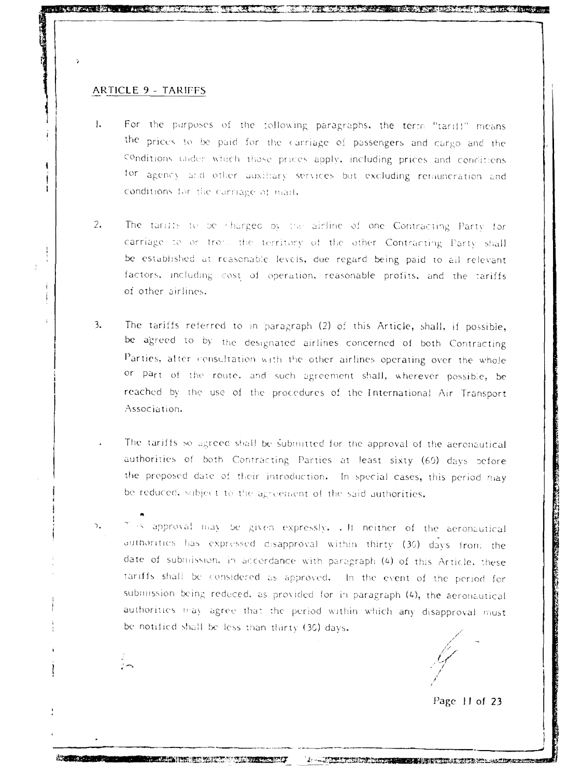#### **ARTICLE 9 - TARIFFS**

- For the purposes of the following paragraphs, the term "tariff" means  $\mathbf{L}$ the prices to be paid for the carriage of passengers and cargo and the conditions under which those prices apply, including prices and conditions for agency and other auxiliary services but excluding remuneration and conditions for the curriage of mail.
- $2.$ The tariffs to be charged by the airline of one Contracting Party for carriage to or from the territory of the other Contracting Party shall be established at reasonable levels, due regard being paid to all relevant factors, including cost of operation, reasonable profits, and the tariffs of other airlines.
- $\overline{3}$ . The tariffs referred to in paragraph (2) of this Article, shall, if possible, be agreed to by the designated airlines concerned of both Contracting Parties, after consultation with the other airlines operating over the whole or part of the route, and such agreement shall, wherever possible, be reached by the use of the procedures of the International Air Transport Association.
	- The tariffs so agreed shall be submitted for the approval of the aeronautical authorities of both Contracting Parties at least sixty (60) days before the proposed date of their introduction. In special cases, this period may be reduced, subject to the agreement of the said authorities.
	- approval may be given expressly. . It neither of the aeronautical authorities has expressed disapproval within thirty (30) days from the date of submission, in accordance with paragraph (4) of this Article, these tariffs shall be considered as approved. In the event of the period for submission being reduced, as provided for in paragraph (4), the aeronautical authorities may agree that the period within which any disapproval must be notified shall be less than thirty (30) days.

**19 市面的复数不可可了** 

A CALINE CONTRACTORS IN THE RANGEMENT

Page 11 of 23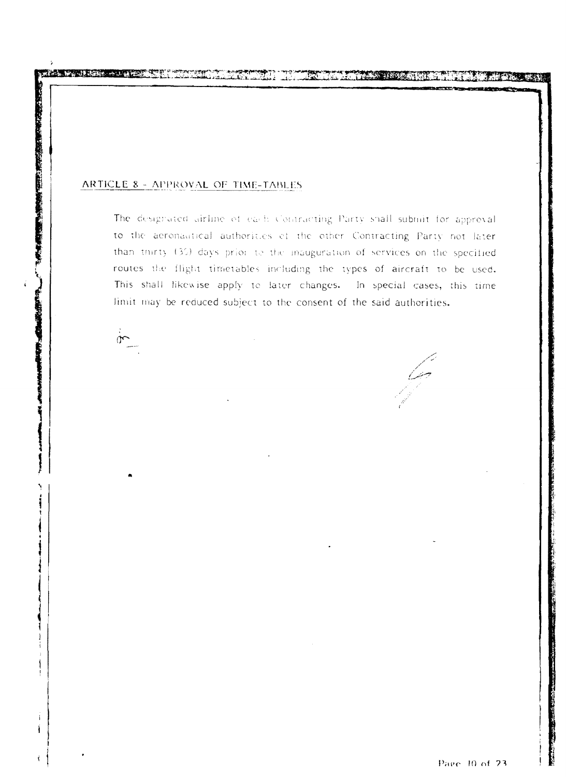### ARTICLE 8 - APPROVAL OF TIME-TABLES

 $\sum_{i=1}^{n}$ 

**TAN TANA** 

了,我们的学生的学生,我们的学生就是一个人的学生。 一个人的人的人的人的人的人的人的人的人的人的人的人的人的人的人。 一个人的人的人的人的人的人,我们的人的人的人

The designated dirline of each Contracting Party shall submit for approval to the aeronautical authorities of the other Contracting Party not later than thirty (30) days prior to the inauguration of services on the specified routes the flight timetables including the types of aircraft to be used. This shall likewise apply to later changes. In special cases, this time limit may be reduced subject to the consent of the said authorities.

Les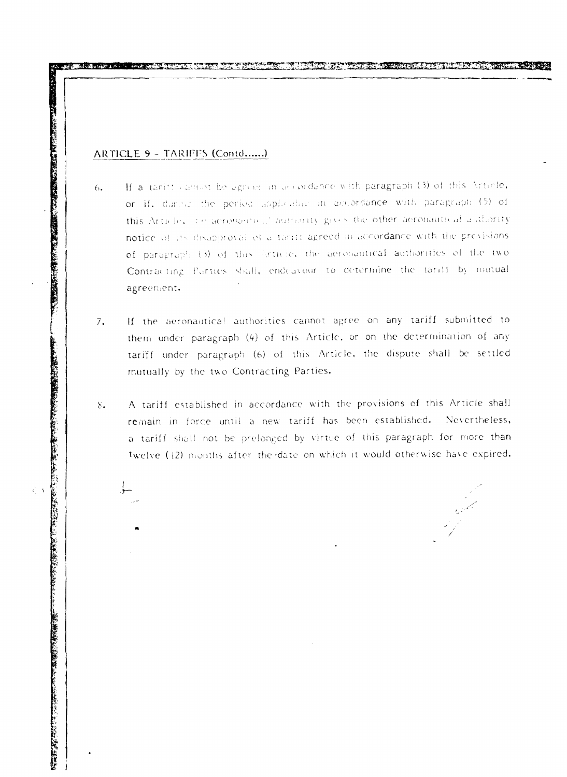# ARTICLE 9 - TARIFFS (Contd......)

If a tariff cannot be egreed in accordance with paragraph (3) of this Article.  $6.$ or if, during the period applicable in accordance with paragraph (5) of this Article, it e-aeronamical durhomity gives the other deronautical authority notice of its disapproval of a tarill agreed in accordance with the previsions of paragraph (3) of this Article, the aeronantical authorities of the two Contracting Purties shall, endeavour to determine the tariff by mutual agreement.

<u>ৰ বিভিন্ন পুৰুষ বাদ্য বিভিন্ন কৰিবলৈ বিভিন্ন বিভিন্ন বিভিন্ন প্ৰাৰম্ভ কৰি কৰি বিভিন্ন বিভিন্ন বিভিন্ন বিভিন্ন</u>

- If the aeronautical authorities cannot agree on any tariff submitted to  $7.$ them under paragraph (4) of this Article, or on the determination of any tariff under paragraph (6) of this Article, the dispute shall be settled mutually by the two Contracting Parties.
- A tariff established in accordance with the provisions of this Article shall  $\Sigma$ . remain in force until a new tariff has been established. Nevertheless, a tariff shall not be prelonged by virtue of this paragraph for more than twelve (12) months after the date on which it would otherwise have expired.

「大きさん」の記事によると言う思いですが、新作団体は今年の時間の研究所である。その後、「大きさん」の記事には、「大きさん」の記事には、「大きさん」の「大きさん」の記事によると、「大きさん」の記事には、

在这些人的时候,我们的心里就是不是一个人的。""我们的人,我们的人,我们也不能不能在这个人的时候,我们的人,我们也不能不能不能。""我们,我们的人,我们的人,我们也不能不能不能不能不能。"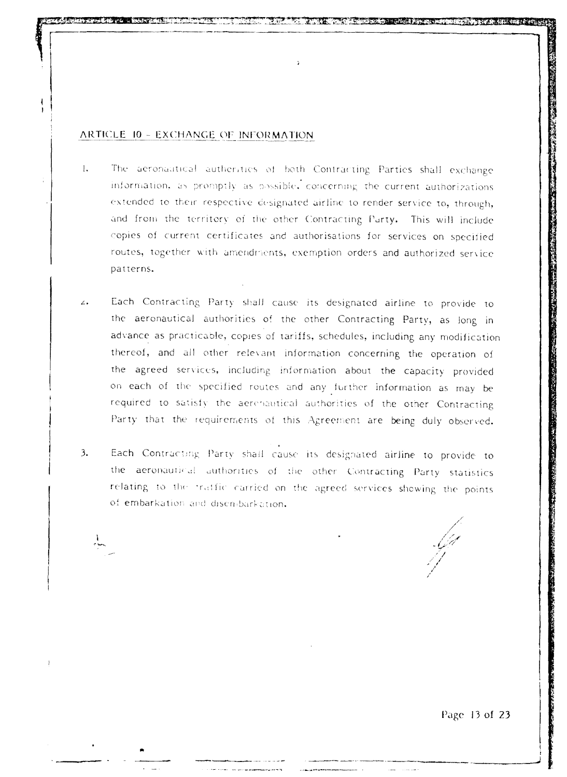#### ARTICLE 10 - EXCHANGE OF INFORMATION

- $\mathbf{L}$ The aeronautical autherities of both Contracting Parties shall exchange information, as promptly as possible, concerning the current authorizations extended to their respective designated airline to render service to, through, and from the territory of the other Contracting Party. This will include copies of current certificates and authorisations for services on specified routes, together with amendments, exemption orders and authorized service patterns.
- Each Contracting Party shall cause its designated airline to provide to  $\mathbf{z}$ the aeronautical authorities of the other Contracting Party, as long in advance as practicable, copies of tariffs, schedules, including any modification thereof, and all other relevant information concerning the operation of the agreed services, including information about the capacity provided on each of the specified routes and any further information as may be required to satisfy the aeronautical authorities of the other Contracting Party that the requirements of this Agreement are being duly observed.
- Each Contracting Party shall cause its designated airline to provide to  $\overline{3}$ . the aeronautical authorities of the other Contracting Party statistics relating to the traffic carried on the agreed services showing the points of embarkation and disembarkation.

Page 13 of 23

الموارد وبالرواء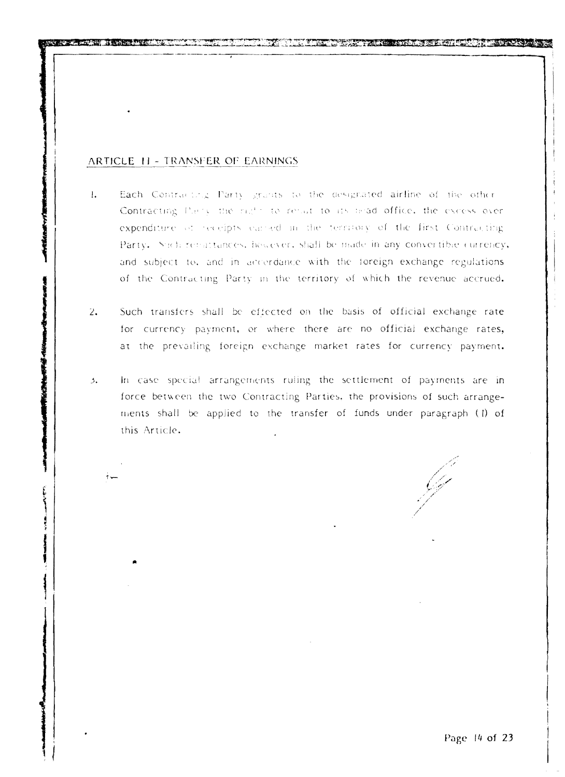### ARTICLE 11 - TRANSFER OF EARNINGS

- $\mathbf{L}$ Each Contracting Party grants to the designated airline of the other Contracting theiry the right to renot to its bead office, the excess over expenditure of receipts earled in the territory of the first Contracting Party. Such resultances, however, shall be made in any convertible currency, and subject to, and in accordance with the foreign exchange regulations of the Contracting Party in the territory of which the revenue accrued.
- Such transfers shall be effected on the basis of official exchange rate  $Z_{\bullet}$ for currency payment, or where there are no official exchange rates, at the prevailing foreign exchange market rates for currency payment.
- In case special arrangements ruling the settlement of payments are in  $\mathfrak{I}$ . force between the two Contracting Parties, the provisions of such arrangements shall be applied to the transfer of funds under paragraph (I) of this Article.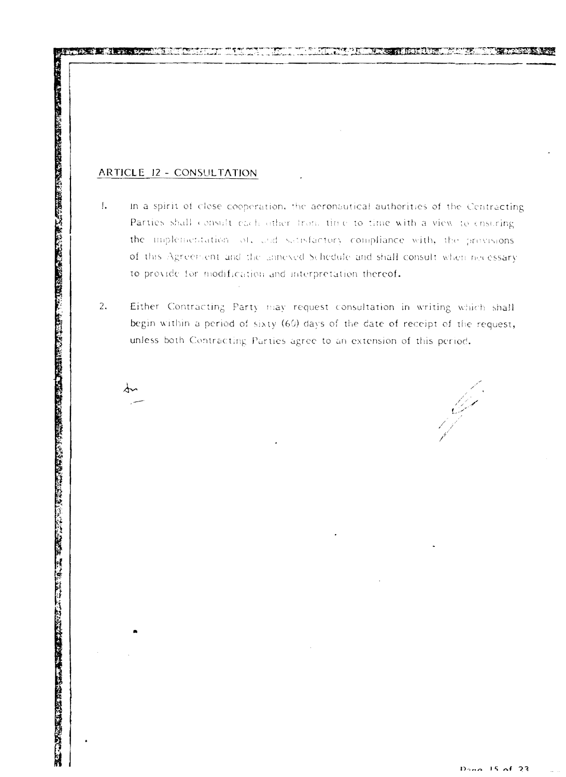## ARTICLE 12 - CONSULTATION

- $\mathbf{L}$ In a spirit of close cooperation, the aeronautical authorities of the Centracting Parties shall consult each other from time to time with a view to ensuring the implementation of, and satisfactory compliance with, the provisions of this Agreement and the annexed Schedule and shall consult when necessary to provide for modification and interpretation thereof.
- $2.$ Either Contracting Party may request consultation in writing which shall begin within a period of sixty (60) days of the date of receipt of the request, unless both Contracting Parties agree to an extension of this period.

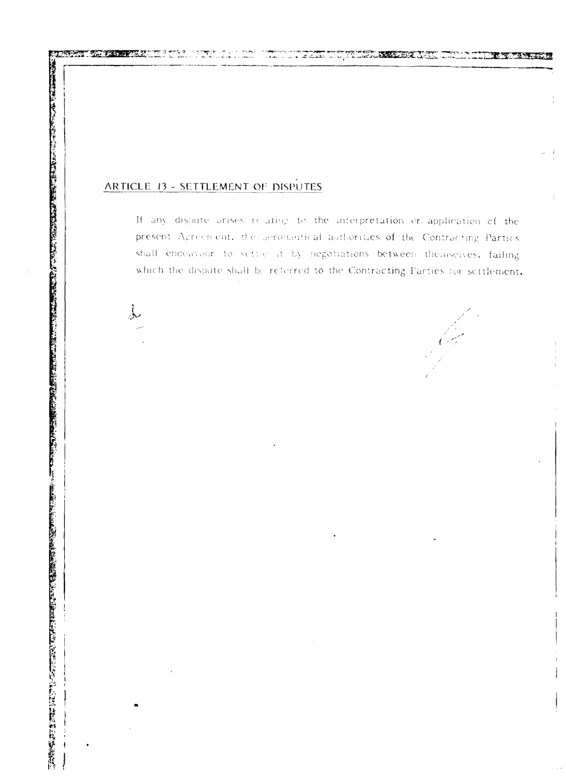# ARTICLE 13 - SETTLEMENT OF DISPUTES

地,我们在我们的,我们的,我们的,我们就是我们的,我们就是我们的。我们在我们的时候,我们就不是,我们就不是,我们就不是,我们的,我们就不是,我们的,我也不是,我们

人

If any dispute arises relating to the interpretation or application of the present Agreement, the aeronautical authorities of the Contracting Parties shall endeavour to settle it by negotiations between themselves, failing which the dispute shall be referred to the Contracting Parties for sottlement.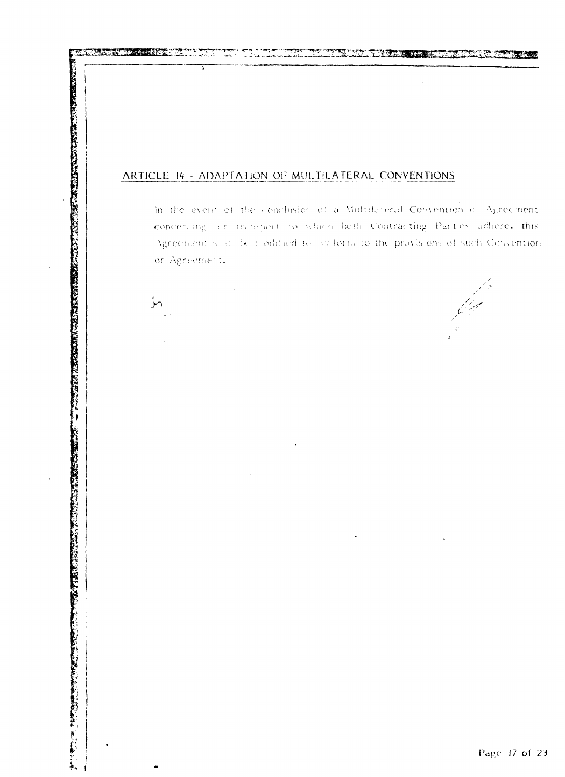# ARTICLE 14 - ADAPTATION OF MULTILATERAL CONVENTIONS

In the event of the conclusion of a Multilateral Convention of Agreement concerning all transport to which both Contracting Parties adhere, this Agreement stuff be a odified to conform to the provisions of such Convention or Agreement.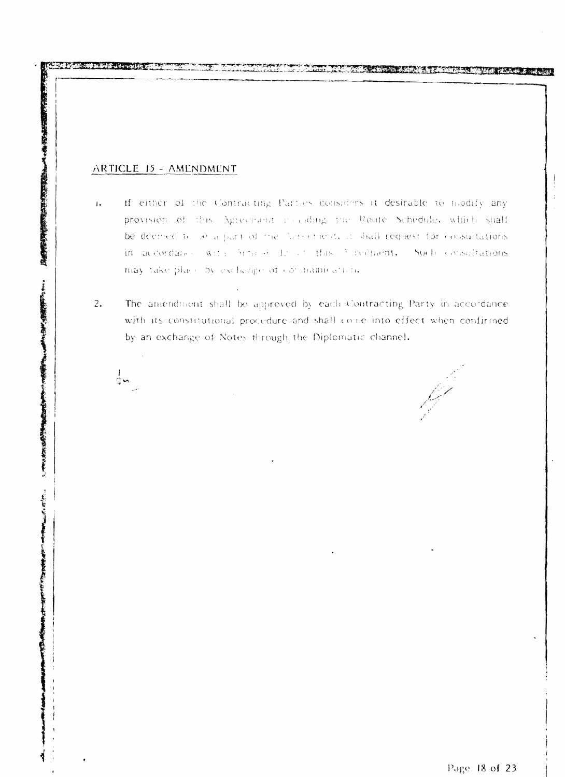#### ARTICLE 15 - AMENDMENT

そころの内容が検討していることをすることです。その状況のあります。その後の状況を確認しているので、そのようなことです。

1. 我们的 PAPT TO TANK TO TANK TO TANK TO TAKE TO TAKE TO TAKE TO TAKE TO TAKE TO TAKE TO TAKE TO TAKE TO TAKE TO

 $rac{1}{3}$ 

- If either of the Contracting Parties considers it desirable to modify any  $\mathbf{I}$ provision of this Agreement counding the Route Schedule, which shall be decised to be a part of the Nationnest. It shall request for consultations in accordance with Arthur In all this Sureement. Such consultations may take place by exchange of constructions in
- $2.$ The amendment shall be approved by each Contracting Party in accordance with its constitutional procedure and shall come into effect when confirmed by an exchange of Notes through the Diplomatic channel.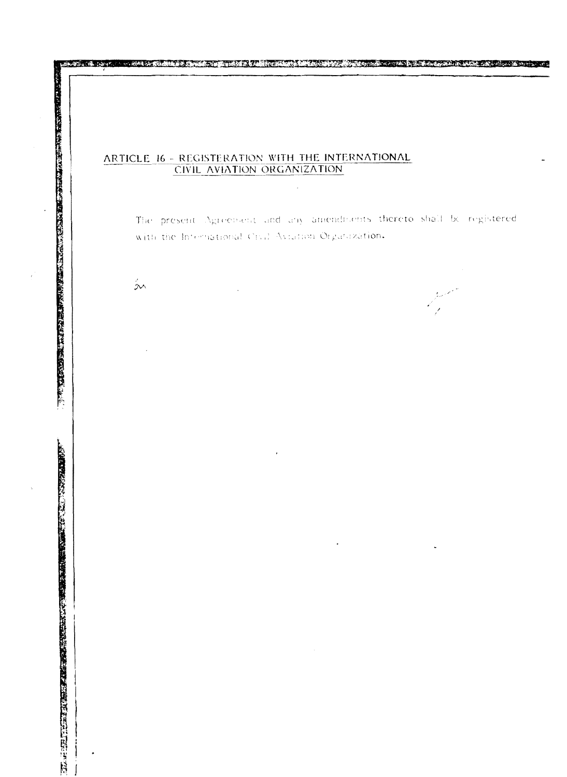# ARTICLE 16 - REGISTERATION WITH THE INTERNATIONAL CIVIL AVIATION ORGANIZATION

The present Agreement and any amendments thereto shall be registered with the International Civil Aviation Organization.

e v tradicional a l'altra dels l'altres dels comes dels signals dels dels signals.

بمثر

Antipacidad (Byr)

「1999年の日本語」の「1999年の「1999年の「1999年の「1999年の「1999年の「1999年の「1999年の「1999年の「1999年の「1999年の「1999年の「1999年の「199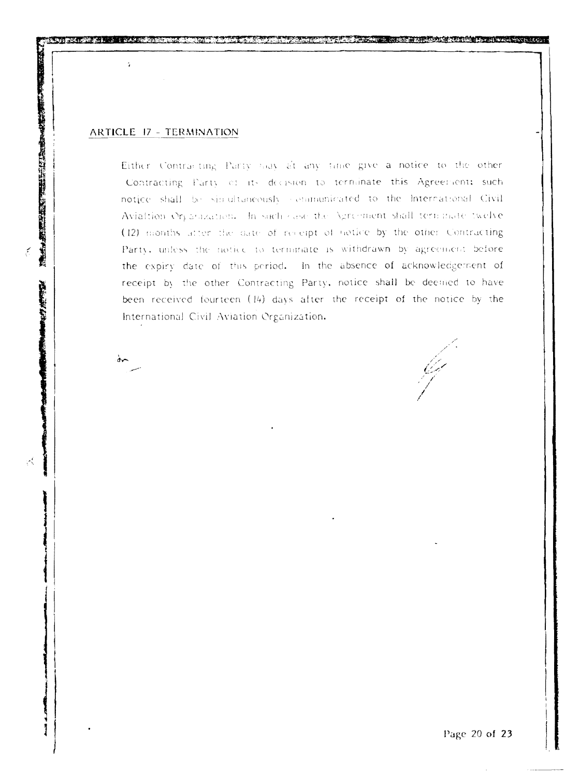## ARTICLE 17 - TERMINATION

 $\hat{\mathcal{A}}$ 

š,

**STATE STATE OF A TIME** 

医红毛毛

Either Contracting Party has at any time give a notice to the other Contracting Party of its decision to terminate this Agreement: such notice shall be sin-ultaneously communicated to the International Civil Avialtion Orpanization. In such case the Agreement shall terminate twelve (12) months after the date of receipt of notice by the other Contracting Party, unless the notice to terminate is withdrawn by agreement before the expiry date of this period. In the absence of acknowledgement of receipt by the other Contracting Party, notice shall be deemed to have been received fourteen (14) days after the receipt of the notice by the International Civil Aviation Organization.

**The State of the Contract of the Contract of the Contract of the Contract of the Contract of the Contract of t**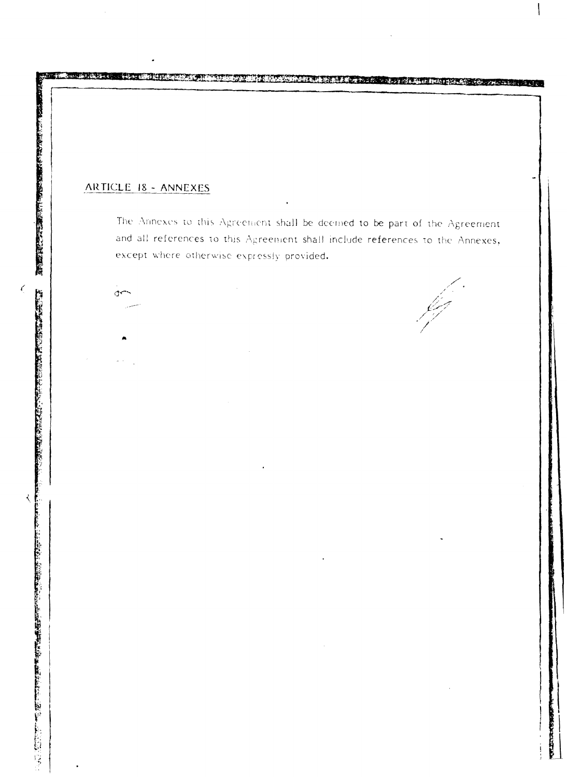# ARTICLE 18 - ANNEXES

 $\sigma$ 

医眼血管 计数字字符 计数字设计 医心脏性 医心脏的 计数字数字 计数字数字

 $\zeta$ 

فتكفف تستخلفت ₹

**EXECUTIVE** 

्रेजित एक्सप्रेस जनसङ्ख्

The Annexes to this Agreement shall be deemed to be part of the Agreement and all references to this Agreement shall include references to the Annexes, except where otherwise expressly provided.

**Roman Constant of the Control of American State Constant Of the Constant Of the Constant Of the Constant Of th**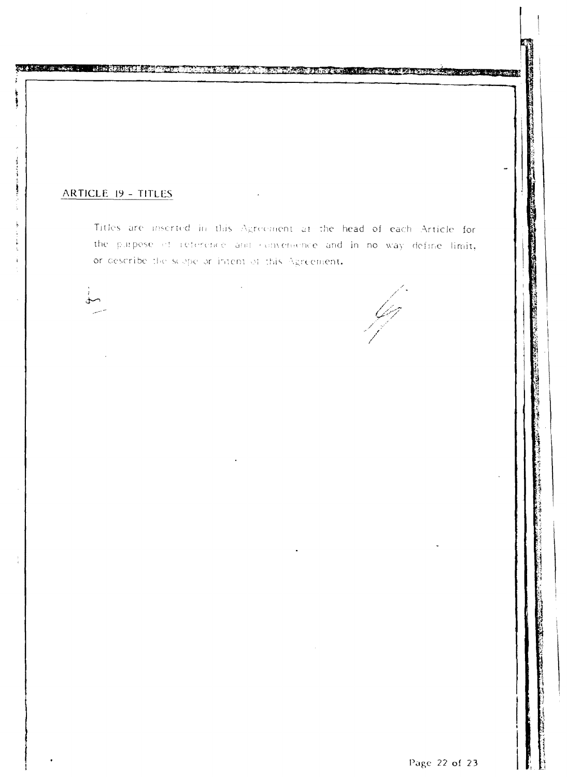# ARTICLE 19 - TITLES

Â

Titles are inserted in this Agreement at the head of each Article for the purpose of reference and convenience and in no way define limit, or describe the scope or intent of this Agreement.

 $\bar{a}$ 

**RASHERS**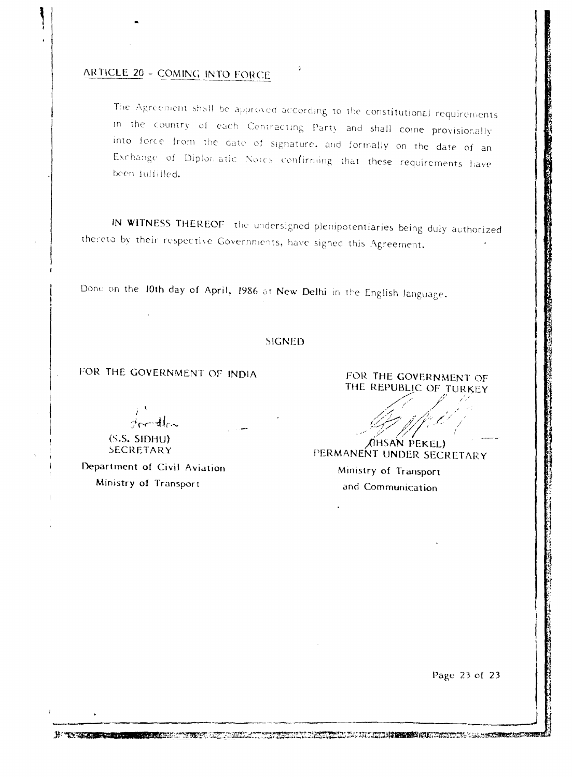# ARTICLE 20 - COMING INTO FORCE

The Agreement shall be approved according to the constitutional requirements in the country of each Contracting Party and shall come provisionally into force from the date of signature, and formally on the date of an Exchange of Diplomatic Notes confirming that these requirements have been fulfilled.

IN WITNESS THEREOF the undersigned plenipotentiaries being duly authorized thereto by their respective Governments, have signed this Agreement,

Done on the 10th day of April, 1986 at New Delhi in the English language.

#### **SIGNED**

The strong of the compact of the control of the compact of the strong of the control of the compact of the control of the control of the control of the control of the control of the control of the control of the control of

FOR THE GOVERNMENT OF INDIA

 $(S.S. SIDHU)$ SECRETARY

Department of Civil Aviation Ministry of Transport

FOR THE GOVERNMENT OF THE REPUBLIC OF TURKEY

PERMANENT UNDER SECRETARY Ministry of Transport and Communication

Page 23 of 23